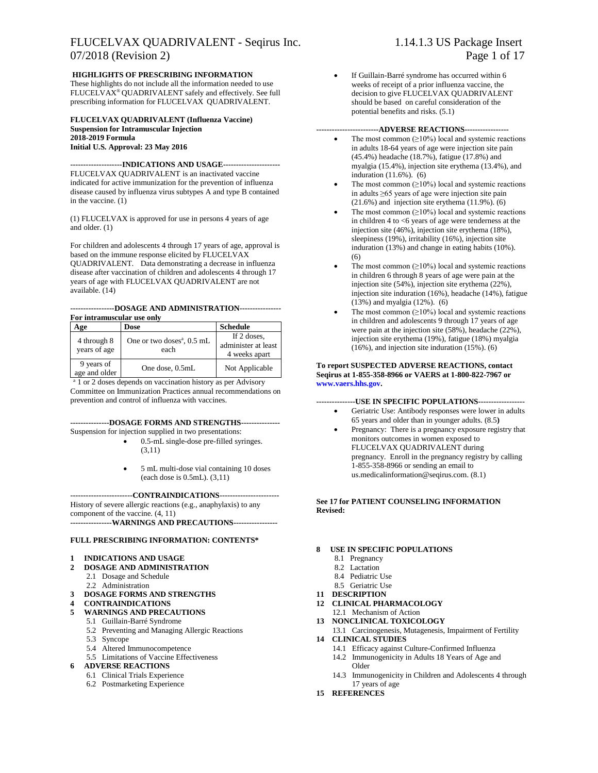#### FLUCELVAX QUADRIVALENT - Seqirus Inc. 1.14.1.3 US Package Insert 07/2018 (Revision 2) Page 1 of 17

#### **HIGHLIGHTS OF PRESCRIBING INFORMATION**

These highlights do not include all the information needed to use FLUCELVAX® QUADRIVALENT safely and effectively. See full prescribing information for FLUCELVAX QUADRIVALENT.

#### **FLUCELVAX QUADRIVALENT (Influenza Vaccine) Suspension for Intramuscular Injection 2018-2019 Formula Initial U.S. Approval: 23 May 2016**

**--------------------INDICATIONS AND USAGE----------------------** FLUCELVAX QUADRIVALENT is an inactivated vaccine indicated for active immunization for the prevention of influenza disease caused by influenza virus subtypes A and type B contained in the vaccine. (1)

(1) FLUCELVAX is approved for use in persons 4 years of age and older. (1)

For children and adolescents 4 through 17 years of age, approval is based on the immune response elicited by FLUCELVAX QUADRIVALENT. Data demonstrating a decrease in influenza disease after vaccination of children and adolescents 4 through 17 years of age with FLUCELVAX QUADRIVALENT are not available. (14)

#### **-----------------DOSAGE AND ADMINISTRATION---------------- For intramuscular use only**

| т от тиегипизовнит изо они , |                                                |                                                     |  |  |  |  |  |
|------------------------------|------------------------------------------------|-----------------------------------------------------|--|--|--|--|--|
| Age                          | Dose                                           | <b>Schedule</b>                                     |  |  |  |  |  |
| 4 through 8<br>years of age  | One or two doses <sup>a</sup> , 0.5 mL<br>each | If 2 doses,<br>administer at least<br>4 weeks apart |  |  |  |  |  |
| 9 years of<br>age and older  | One dose, 0.5mL                                | Not Applicable                                      |  |  |  |  |  |

<sup>a</sup> 1 or 2 doses depends on vaccination history as per Advisory Committee on Immunization Practices annual recommendations on prevention and control of influenza with vaccines.

#### **---------------DOSAGE FORMS AND STRENGTHS---------------**

- Suspension for injection supplied in two presentations: • 0.5-mL single-dose pre-filled syringes.
	- (3,11)
	- 5 mL multi-dose vial containing 10 doses (each dose is 0.5mL). (3,11)

#### **------------------------CONTRAINDICATIONS-----------------------**

History of severe allergic reactions (e.g., anaphylaxis) to any component of the vaccine. (4, 11) **----------------WARNINGS AND PRECAUTIONS-----------------**

#### **FULL PRESCRIBING INFORMATION: CONTENTS\***

#### **1 INDICATIONS AND USAGE**

- **2 DOSAGE AND ADMINISTRATION**
	- 2.1 Dosage and Schedule
	- 2.2 Administration
- **3 DOSAGE FORMS AND STRENGTHS**
- **4 CONTRAINDICATIONS**
- **5 WARNINGS AND PRECAUTIONS**
	- 5.1 Guillain-Barré Syndrome
	- 5.2 Preventing and Managing Allergic Reactions
	- 5.3 Syncope
	- 5.4 Altered Immunocompetence
	- 5.5 Limitations of Vaccine Effectiveness

#### **6 ADVERSE REACTIONS**

- 6.1 Clinical Trials Experience
- 6.2 Postmarketing Experience

If Guillain-Barré syndrome has occurred within 6 weeks of receipt of a prior influenza vaccine, the decision to give FLUCELVAX QUADRIVALENT should be based on careful consideration of the potential benefits and risks. (5.1)

#### **------------------------ADVERSE REACTIONS-----------------**

- The most common  $(≥10%)$  local and systemic reactions in adults 18-64 years of age were injection site pain (45.4%) headache (18.7%), fatigue (17.8%) and myalgia (15.4%), injection site erythema (13.4%), and induration (11.6%). (6)
- The most common  $(≥10%)$  local and systemic reactions in adults ≥65 years of age were injection site pain (21.6%) and injection site erythema (11.9%). (6)
- The most common  $(>10\%)$  local and systemic reactions in children 4 to <6 years of age were tenderness at the injection site (46%), injection site erythema (18%), sleepiness (19%), irritability (16%), injection site induration (13%) and change in eating habits (10%). (6)
- The most common  $(≥10%)$  local and systemic reactions in children 6 through 8 years of age were pain at the injection site (54%), injection site erythema (22%), injection site induration (16%), headache (14%), fatigue (13%) and myalgia (12%). (6)
- The most common  $(≥10%)$  local and systemic reactions in children and adolescents 9 through 17 years of age were pain at the injection site (58%), headache (22%), injection site erythema (19%), fatigue (18%) myalgia (16%), and injection site induration (15%). (6)

#### **To report SUSPECTED ADVERSE REACTIONS, contact Seqirus at 1-855-358-8966 or VAERS at 1-800-822-7967 or [www.vaers.hhs.gov.](http://www.vaers.hhs.gov/)**

#### **---------------USE IN SPECIFIC POPULATIONS------------------**

- Geriatric Use: Antibody responses were lower in adults 65 years and older than in younger adults. (8.5**)**
- Pregnancy: There is a pregnancy exposure registry that monitors outcomes in women exposed to FLUCELVAX QUADRIVALENT during pregnancy. Enroll in the pregnancy registry by calling 1-855-358-8966 or sending an email to [us.medicalinformation@seqirus.com.](mailto:us.medicalinformation@seqirus.com) (8.1)

**See 17 for PATIENT COUNSELING INFORMATION Revised:** 

#### **8 USE IN SPECIFIC POPULATIONS**

- 8.1 Pregnancy
- 8.2 Lactation
- 8.4 Pediatric Use
- 8.5 Geriatric Use
- **11 DESCRIPTION**
- **12 CLINICAL PHARMACOLOGY**
- 12.1 Mechanism of Action
- **13 NONCLINICAL TOXICOLOGY**
- 13.1 Carcinogenesis, Mutagenesis, Impairment of Fertility **14 CLINICAL STUDIES**
	- 14.1 Efficacy against Culture-Confirmed Influenza
	- 14.2 Immunogenicity in Adults 18 Years of Age and Older
	- 14.3 Immunogenicity in Children and Adolescents 4 through 17 years of age
- **15 REFERENCES**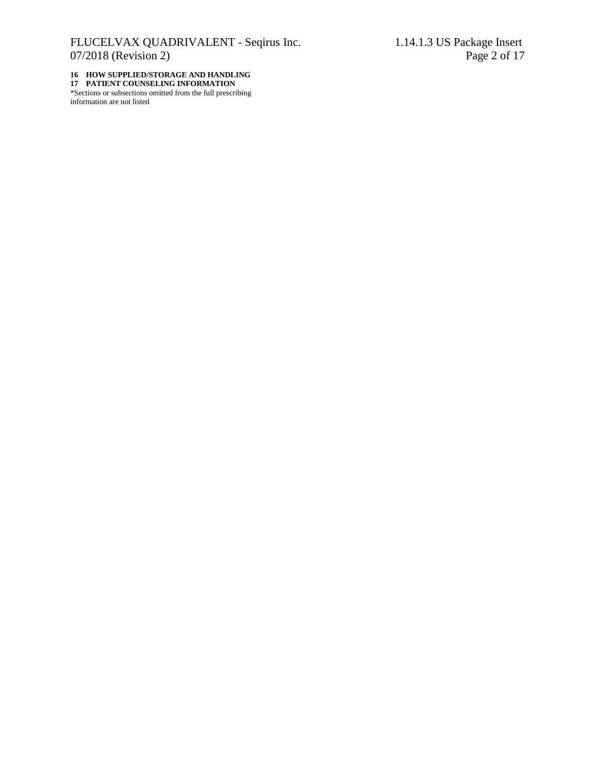#### **16 HOW SUPPLIED/STORAGE AND HANDLING 17 PATIENT COUNSELING INFORMATION**

\*Sections or subsections omitted from the full prescribing information are not listed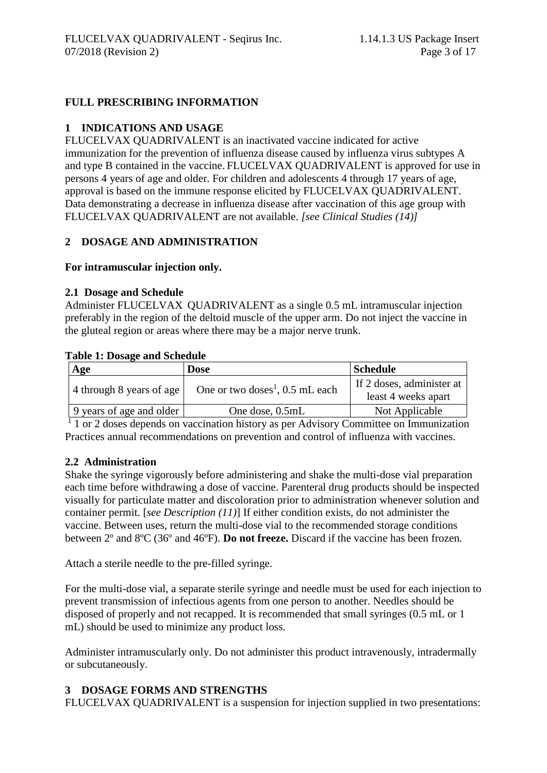# **FULL PRESCRIBING INFORMATION**

## **1 INDICATIONS AND USAGE**

FLUCELVAX QUADRIVALENT is an inactivated vaccine indicated for active immunization for the prevention of influenza disease caused by influenza virus subtypes A and type B contained in the vaccine. FLUCELVAX QUADRIVALENT is approved for use in persons 4 years of age and older. For children and adolescents 4 through 17 years of age, approval is based on the immune response elicited by FLUCELVAX QUADRIVALENT. Data demonstrating a decrease in influenza disease after vaccination of this age group with FLUCELVAX QUADRIVALENT are not available. *[see Clinical Studies (14)]*

#### **2 DOSAGE AND ADMINISTRATION**

#### **For intramuscular injection only.**

#### **2.1 Dosage and Schedule**

Administer FLUCELVAX QUADRIVALENT as a single 0.5 mL intramuscular injection preferably in the region of the deltoid muscle of the upper arm. Do not inject the vaccine in the gluteal region or areas where there may be a major nerve trunk.

#### **Table 1: Dosage and Schedule**

| Age                      | Dose                                          | <b>Schedule</b>                                  |
|--------------------------|-----------------------------------------------|--------------------------------------------------|
| 4 through 8 years of age | One or two doses <sup>1</sup> , $0.5$ mL each | If 2 doses, administer at<br>least 4 weeks apart |
| 9 years of age and older | One dose, 0.5mL                               | Not Applicable                                   |

<sup>1</sup> 1 or 2 doses depends on vaccination history as per Advisory Committee on Immunization Practices annual recommendations on prevention and control of influenza with vaccines.

#### **2.2 Administration**

Shake the syringe vigorously before administering and shake the multi-dose vial preparation each time before withdrawing a dose of vaccine. Parenteral drug products should be inspected visually for particulate matter and discoloration prior to administration whenever solution and container permit. [*see Description (11)*] If either condition exists, do not administer the vaccine. Between uses, return the multi-dose vial to the recommended storage conditions between 2º and 8ºC (36º and 46ºF). **Do not freeze.** Discard if the vaccine has been frozen.

Attach a sterile needle to the pre-filled syringe.

For the multi-dose vial, a separate sterile syringe and needle must be used for each injection to prevent transmission of infectious agents from one person to another. Needles should be disposed of properly and not recapped. It is recommended that small syringes (0.5 mL or 1 mL) should be used to minimize any product loss.

Administer intramuscularly only. Do not administer this product intravenously, intradermally or subcutaneously.

# **3 DOSAGE FORMS AND STRENGTHS**

FLUCELVAX QUADRIVALENT is a suspension for injection supplied in two presentations: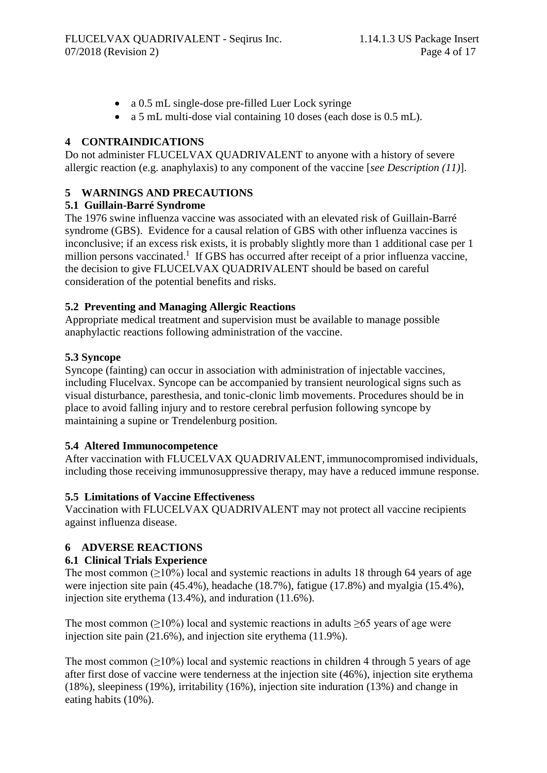- a 0.5 mL single-dose pre-filled Luer Lock syringe
- a 5 mL multi-dose vial containing 10 doses (each dose is 0.5 mL).

# **4 CONTRAINDICATIONS**

Do not administer FLUCELVAX QUADRIVALENT to anyone with a history of severe allergic reaction (e.g. anaphylaxis) to any component of the vaccine [*see Description (11)*].

# **5 WARNINGS AND PRECAUTIONS**

## **5.1 Guillain-Barré Syndrome**

The 1976 swine influenza vaccine was associated with an elevated risk of Guillain-Barré syndrome (GBS). Evidence for a causal relation of GBS with other influenza vaccines is inconclusive; if an excess risk exists, it is probably slightly more than 1 additional case per 1 million persons vaccinated.<sup>1</sup> If GBS has occurred after receipt of a prior influenza vaccine, the decision to give FLUCELVAX QUADRIVALENT should be based on careful consideration of the potential benefits and risks.

# **5.2 Preventing and Managing Allergic Reactions**

Appropriate medical treatment and supervision must be available to manage possible anaphylactic reactions following administration of the vaccine.

# **5.3 Syncope**

Syncope (fainting) can occur in association with administration of injectable vaccines, including Flucelvax. Syncope can be accompanied by transient neurological signs such as visual disturbance, paresthesia, and tonic-clonic limb movements. Procedures should be in place to avoid falling injury and to restore cerebral perfusion following syncope by maintaining a supine or Trendelenburg position.

# **5.4 Altered Immunocompetence**

After vaccination with FLUCELVAX QUADRIVALENT, immunocompromised individuals, including those receiving immunosuppressive therapy, may have a reduced immune response.

# **5.5 Limitations of Vaccine Effectiveness**

Vaccination with FLUCELVAX QUADRIVALENT may not protect all vaccine recipients against influenza disease.

# **6 ADVERSE REACTIONS**

# **6.1 Clinical Trials Experience**

The most common  $(\geq 10\%)$  local and systemic reactions in adults 18 through 64 years of age were injection site pain (45.4%), headache (18.7%), fatigue (17.8%) and myalgia (15.4%), injection site erythema (13.4%), and induration (11.6%).

The most common ( $\geq$ 10%) local and systemic reactions in adults  $\geq$ 65 years of age were injection site pain (21.6%), and injection site erythema (11.9%).

The most common  $(>10\%)$  local and systemic reactions in children 4 through 5 years of age after first dose of vaccine were tenderness at the injection site (46%), injection site erythema (18%), sleepiness (19%), irritability (16%), injection site induration (13%) and change in eating habits (10%).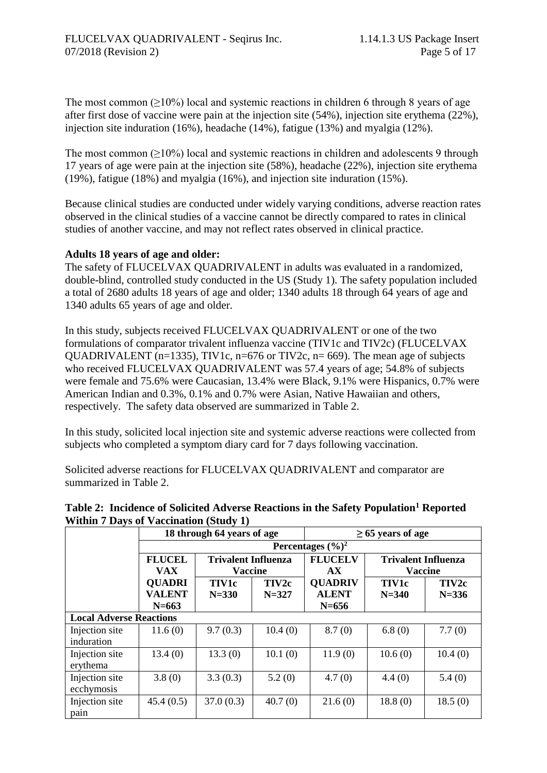The most common  $(\geq 10\%)$  local and systemic reactions in children 6 through 8 years of age after first dose of vaccine were pain at the injection site (54%), injection site erythema (22%), injection site induration (16%), headache (14%), fatigue (13%) and myalgia (12%).

The most common  $(\geq 10\%)$  local and systemic reactions in children and adolescents 9 through 17 years of age were pain at the injection site (58%), headache (22%), injection site erythema (19%), fatigue (18%) and myalgia (16%), and injection site induration (15%).

Because clinical studies are conducted under widely varying conditions, adverse reaction rates observed in the clinical studies of a vaccine cannot be directly compared to rates in clinical studies of another vaccine, and may not reflect rates observed in clinical practice.

#### **Adults 18 years of age and older:**

The safety of FLUCELVAX QUADRIVALENT in adults was evaluated in a randomized, double-blind, controlled study conducted in the US (Study 1). The safety population included a total of 2680 adults 18 years of age and older; 1340 adults 18 through 64 years of age and 1340 adults 65 years of age and older.

In this study, subjects received FLUCELVAX QUADRIVALENT or one of the two formulations of comparator trivalent influenza vaccine (TIV1c and TIV2c) (FLUCELVAX QUADRIVALENT (n=1335), TIV1c, n=676 or TIV2c, n= 669). The mean age of subjects who received FLUCELVAX QUADRIVALENT was 57.4 years of age; 54.8% of subjects were female and 75.6% were Caucasian, 13.4% were Black, 9.1% were Hispanics, 0.7% were American Indian and 0.3%, 0.1% and 0.7% were Asian, Native Hawaiian and others, respectively. The safety data observed are summarized in Table 2.

In this study, solicited local injection site and systemic adverse reactions were collected from subjects who completed a symptom diary card for 7 days following vaccination.

Solicited adverse reactions for FLUCELVAX QUADRIVALENT and comparator are summarized in Table 2.

| Table 2: Incidence of Solicited Adverse Reactions in the Safety Population <sup>1</sup> Reported |  |  |
|--------------------------------------------------------------------------------------------------|--|--|
| <b>Within 7 Days of Vaccination (Study 1)</b>                                                    |  |  |

|                                |               | 18 through 64 years of age |           | $\geq 65$ years of age        |                            |           |  |
|--------------------------------|---------------|----------------------------|-----------|-------------------------------|----------------------------|-----------|--|
|                                |               |                            |           | Percentages $(\frac{6}{6})^2$ |                            |           |  |
|                                | <b>FLUCEL</b> | <b>Trivalent Influenza</b> |           | <b>FLUCELV</b>                | <b>Trivalent Influenza</b> |           |  |
|                                | <b>VAX</b>    | <b>Vaccine</b>             |           | AX                            | <b>Vaccine</b>             |           |  |
|                                | <b>QUADRI</b> | <b>TIV1c</b>               | TIV2c     | <b>QUADRIV</b>                | <b>TIV1c</b>               | TIV2c     |  |
|                                | <b>VALENT</b> | $N = 330$                  | $N = 327$ | <b>ALENT</b>                  | $N = 340$                  | $N = 336$ |  |
|                                | $N = 663$     |                            |           | $N = 656$                     |                            |           |  |
| <b>Local Adverse Reactions</b> |               |                            |           |                               |                            |           |  |
| Injection site<br>induration   | 11.6(0)       | 9.7(0.3)                   | 10.4(0)   | 8.7(0)                        | 6.8(0)                     | 7.7(0)    |  |
| Injection site<br>erythema     | 13.4(0)       | 13.3(0)                    | 10.1(0)   | 11.9(0)                       | 10.6(0)                    | 10.4(0)   |  |
| Injection site<br>ecchymosis   | 3.8(0)        | 3.3(0.3)                   | 5.2(0)    | 4.7(0)                        | 4.4(0)                     | 5.4(0)    |  |
| Injection site<br>pain         | 45.4(0.5)     | 37.0(0.3)                  | 40.7(0)   | 21.6(0)                       | 18.8(0)                    | 18.5(0)   |  |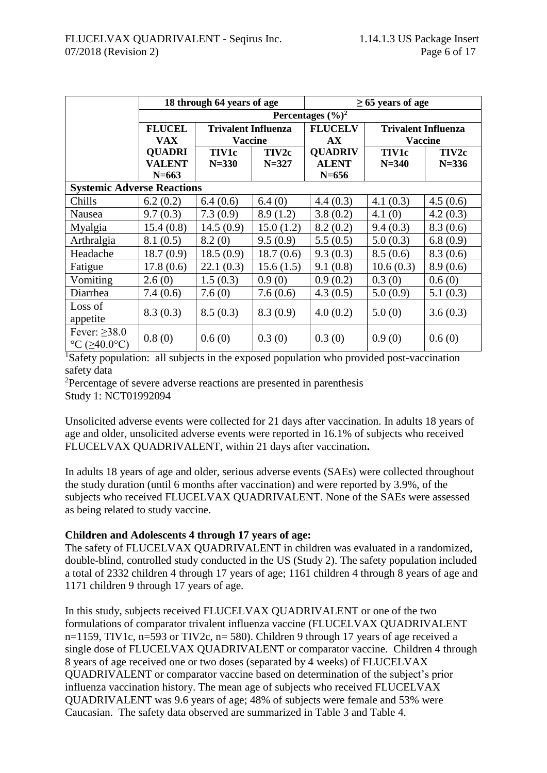|                                   |               | 18 through 64 years of age |           | $\geq 65$ years of age        |                            |                |
|-----------------------------------|---------------|----------------------------|-----------|-------------------------------|----------------------------|----------------|
|                                   |               |                            |           | Percentages $(\frac{6}{6})^2$ |                            |                |
|                                   | <b>FLUCEL</b> | <b>Trivalent Influenza</b> |           | <b>FLUCELV</b>                | <b>Trivalent Influenza</b> |                |
|                                   | <b>VAX</b>    | <b>Vaccine</b>             |           | AX                            |                            | <b>Vaccine</b> |
|                                   | <b>QUADRI</b> | <b>TIV1c</b>               | TIV2c     | <b>QUADRIV</b>                | <b>TIV1c</b>               | TIV2c          |
|                                   | <b>VALENT</b> | $N = 330$                  | $N = 327$ | <b>ALENT</b>                  | $N = 340$                  | $N = 336$      |
|                                   | $N = 663$     |                            |           | $N = 656$                     |                            |                |
| <b>Systemic Adverse Reactions</b> |               |                            |           |                               |                            |                |
| Chills                            | 6.2(0.2)      | 6.4(0.6)                   | 6.4(0)    | 4.4(0.3)                      | 4.1(0.3)                   | 4.5(0.6)       |
| Nausea                            | 9.7(0.3)      | 7.3(0.9)                   | 8.9(1.2)  | 3.8(0.2)                      | 4.1(0)                     | 4.2(0.3)       |
| Myalgia                           | 15.4(0.8)     | 14.5(0.9)                  | 15.0(1.2) | 8.2(0.2)                      | 9.4(0.3)                   | 8.3(0.6)       |
| Arthralgia                        | 8.1(0.5)      | 8.2(0)                     | 9.5(0.9)  | 5.5(0.5)                      | 5.0(0.3)                   | 6.8(0.9)       |
| Headache                          | 18.7(0.9)     | 18.5(0.9)                  | 18.7(0.6) | 9.3(0.3)                      | 8.5(0.6)                   | 8.3(0.6)       |
| Fatigue                           | 17.8(0.6)     | 22.1(0.3)                  | 15.6(1.5) | 9.1(0.8)                      | 10.6(0.3)                  | 8.9(0.6)       |
| Vomiting                          | 2.6(0)        | 1.5(0.3)                   | 0.9(0)    | 0.9(0.2)                      | 0.3(0)                     | 0.6(0)         |
| Diarrhea                          | 7.4(0.6)      | 7.6(0)                     | 7.6(0.6)  | 4.3(0.5)                      | 5.0(0.9)                   | 5.1(0.3)       |
| Loss of                           | 8.3(0.3)      | 8.5(0.3)                   | 8.3(0.9)  | 4.0(0.2)                      | 5.0(0)                     | 3.6(0.3)       |
| appetite                          |               |                            |           |                               |                            |                |
| Fever: $\geq$ 38.0                |               |                            |           |                               |                            |                |
| °C ( $\geq$ 40.0°C)               | 0.8(0)        | 0.6(0)                     | 0.3(0)    | 0.3(0)                        | 0.9(0)                     | 0.6(0)         |

<sup>1</sup>Safety population: all subjects in the exposed population who provided post-vaccination safety data

<sup>2</sup>Percentage of severe adverse reactions are presented in parenthesis Study 1: NCT01992094

Unsolicited adverse events were collected for 21 days after vaccination. In adults 18 years of age and older, unsolicited adverse events were reported in 16.1% of subjects who received FLUCELVAX QUADRIVALENT, within 21 days after vaccination**.**

In adults 18 years of age and older, serious adverse events (SAEs) were collected throughout the study duration (until 6 months after vaccination) and were reported by 3.9%, of the subjects who received FLUCELVAX QUADRIVALENT. None of the SAEs were assessed as being related to study vaccine.

## **Children and Adolescents 4 through 17 years of age:**

The safety of FLUCELVAX QUADRIVALENT in children was evaluated in a randomized, double-blind, controlled study conducted in the US (Study 2). The safety population included a total of 2332 children 4 through 17 years of age; 1161 children 4 through 8 years of age and 1171 children 9 through 17 years of age.

In this study, subjects received FLUCELVAX QUADRIVALENT or one of the two formulations of comparator trivalent influenza vaccine (FLUCELVAX QUADRIVALENT n=1159, TIV1c, n=593 or TIV2c, n= 580). Children 9 through 17 years of age received a single dose of FLUCELVAX QUADRIVALENT or comparator vaccine. Children 4 through 8 years of age received one or two doses (separated by 4 weeks) of FLUCELVAX QUADRIVALENT or comparator vaccine based on determination of the subject's prior influenza vaccination history. The mean age of subjects who received FLUCELVAX QUADRIVALENT was 9.6 years of age; 48% of subjects were female and 53% were Caucasian. The safety data observed are summarized in Table 3 and Table 4.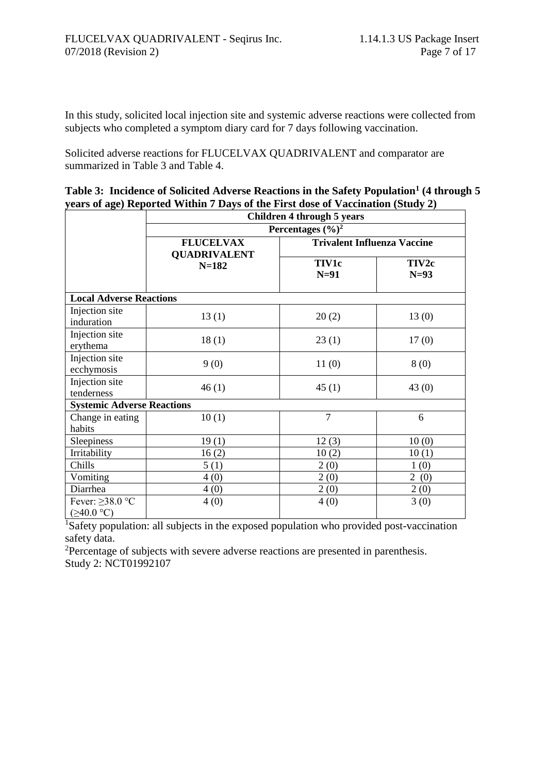In this study, solicited local injection site and systemic adverse reactions were collected from subjects who completed a symptom diary card for 7 days following vaccination.

Solicited adverse reactions for FLUCELVAX QUADRIVALENT and comparator are summarized in Table 3 and Table 4.

| Table 3: Incidence of Solicited Adverse Reactions in the Safety Population <sup>1</sup> (4 through 5                                                                                                                                                                                                                                                                                                                   |  |
|------------------------------------------------------------------------------------------------------------------------------------------------------------------------------------------------------------------------------------------------------------------------------------------------------------------------------------------------------------------------------------------------------------------------|--|
| years of age) Reported Within 7 Days of the First dose of Vaccination (Study 2)                                                                                                                                                                                                                                                                                                                                        |  |
| $\alpha$ , $\alpha$ , $\alpha$ , $\alpha$ , $\alpha$ , $\alpha$ , $\alpha$ , $\alpha$ , $\alpha$ , $\alpha$ , $\alpha$ , $\alpha$ , $\alpha$ , $\alpha$ , $\alpha$ , $\alpha$ , $\alpha$ , $\alpha$ , $\alpha$ , $\alpha$ , $\alpha$ , $\alpha$ , $\alpha$ , $\alpha$ , $\alpha$ , $\alpha$ , $\alpha$ , $\alpha$ , $\alpha$ , $\alpha$ , $\alpha$ , $\alpha$ , $\alpha$ , $\alpha$ , $\alpha$ , $\alpha$ , $\alpha$ , |  |

|                                           | Children 4 through 5 years              |                                    |                 |  |  |  |  |  |
|-------------------------------------------|-----------------------------------------|------------------------------------|-----------------|--|--|--|--|--|
|                                           | Percentages $(\frac{6}{6})^2$           |                                    |                 |  |  |  |  |  |
|                                           | <b>FLUCELVAX</b><br><b>QUADRIVALENT</b> | <b>Trivalent Influenza Vaccine</b> |                 |  |  |  |  |  |
|                                           | $N = 182$                               | <b>TIV1c</b><br>$N=91$             | TIV2c<br>$N=93$ |  |  |  |  |  |
| <b>Local Adverse Reactions</b>            |                                         |                                    |                 |  |  |  |  |  |
| Injection site<br>induration              | 13(1)                                   | 20(2)                              | 13(0)           |  |  |  |  |  |
| Injection site<br>erythema                | 18(1)                                   | 23(1)                              | 17(0)           |  |  |  |  |  |
| Injection site<br>ecchymosis              | 9(0)                                    | 11(0)                              | 8(0)            |  |  |  |  |  |
| Injection site<br>tenderness              | 46(1)                                   | 45(1)                              | 43(0)           |  |  |  |  |  |
| <b>Systemic Adverse Reactions</b>         |                                         |                                    |                 |  |  |  |  |  |
| Change in eating<br>habits                | 10(1)                                   | $\overline{7}$                     | 6               |  |  |  |  |  |
| Sleepiness                                | 19(1)                                   | 12(3)                              | 10(0)           |  |  |  |  |  |
| Irritability                              | 16(2)                                   | 10(2)                              | 10(1)           |  |  |  |  |  |
| Chills                                    | 5(1)                                    | 2(0)                               | 1(0)            |  |  |  |  |  |
| Vomiting                                  | 4(0)                                    | 2(0)                               | 2(0)            |  |  |  |  |  |
| Diarrhea                                  | 4(0)                                    | 2(0)                               | 2(0)            |  |  |  |  |  |
| Fever: $\geq$ 38.0 °C<br>$(\geq 40.0$ °C) | 4(0)                                    | 4(0)                               | 3(0)            |  |  |  |  |  |

<sup>1</sup>Safety population: all subjects in the exposed population who provided post-vaccination safety data.

<sup>2</sup>Percentage of subjects with severe adverse reactions are presented in parenthesis. Study 2: NCT01992107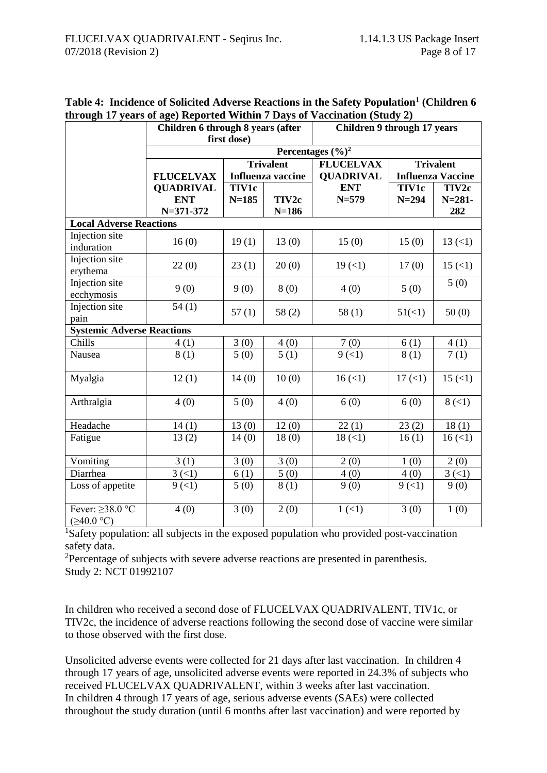|                                           | Children 6 through 8 years (after<br>first dose) |              |                   | <b>Children 9 through 17 years</b> |              |                          |  |
|-------------------------------------------|--------------------------------------------------|--------------|-------------------|------------------------------------|--------------|--------------------------|--|
|                                           |                                                  |              |                   | Percentages $(\frac{6}{6})^2$      |              |                          |  |
|                                           |                                                  |              | <b>Trivalent</b>  | <b>FLUCELVAX</b>                   |              | <b>Trivalent</b>         |  |
|                                           | <b>FLUCELVAX</b>                                 |              | Influenza vaccine | <b>QUADRIVAL</b>                   |              | <b>Influenza Vaccine</b> |  |
|                                           | <b>QUADRIVAL</b>                                 | <b>TIV1c</b> |                   | <b>ENT</b><br>$N = 579$            | <b>TIV1c</b> | TIV2c                    |  |
|                                           | <b>ENT</b><br>$N = 371 - 372$                    | $N = 185$    | TIV2c<br>$N=186$  |                                    | $N = 294$    | $N = 281 -$<br>282       |  |
| <b>Local Adverse Reactions</b>            |                                                  |              |                   |                                    |              |                          |  |
| Injection site<br>induration              | 16(0)                                            | 19(1)        | 13(0)             | 15(0)                              | 15(0)        | 13(1)                    |  |
| Injection site<br>erythema                | 22(0)                                            | 23(1)        | 20(0)             | 19(1)                              | 17(0)        | 15(1)                    |  |
| Injection site<br>ecchymosis              | 9(0)                                             | 9(0)         | 8(0)              | 4(0)                               | 5(0)         | 5(0)                     |  |
| Injection site<br>pain                    | 54(1)                                            | 57(1)        | 58(2)             | 58(1)                              | 51(1)        | 50(0)                    |  |
| <b>Systemic Adverse Reactions</b>         |                                                  |              |                   |                                    |              |                          |  |
| Chills                                    | 4(1)                                             | 3(0)         | 4(0)              | 7(0)                               | 6(1)         | 4(1)                     |  |
| Nausea                                    | 8(1)                                             | 5(0)         | 5(1)              | 9(1)                               | 8(1)         | 7(1)                     |  |
| Myalgia                                   | 12(1)                                            | 14(0)        | 10(0)             | 16(1)                              | 17(1)        | 15(1)                    |  |
| Arthralgia                                | 4(0)                                             | 5(0)         | 4(0)              | 6(0)                               | 6(0)         | 8(1)                     |  |
| Headache                                  | 14(1)                                            | 13(0)        | 12(0)             | 22(1)                              | 23(2)        | 18(1)                    |  |
| Fatigue                                   | 13(2)                                            | 14(0)        | 18(0)             | $18 (=1)$                          | 16(1)        | 16(1)                    |  |
| Vomiting                                  | 3(1)                                             | 3(0)         | 3(0)              | 2(0)                               | 1(0)         | 2(0)                     |  |
| Diarrhea                                  | 3(1)                                             | 6(1)         | 5(0)              | 4(0)                               | 4(0)         | 3(1)                     |  |
| Loss of appetite                          | 9(1)                                             | 5(0)         | 8(1)              | 9(0)                               | 9(1)         | 9(0)                     |  |
| Fever: $\geq$ 38.0 °C<br>$(\geq 40.0$ °C) | 4(0)                                             | 3(0)         | 2(0)              | 1(1)                               | 3(0)         | 1(0)                     |  |

**Table 4: Incidence of Solicited Adverse Reactions in the Safety Population<sup>1</sup> (Children 6 through 17 years of age) Reported Within 7 Days of Vaccination (Study 2)**

<sup>1</sup>Safety population: all subjects in the exposed population who provided post-vaccination safety data.

<sup>2</sup>Percentage of subjects with severe adverse reactions are presented in parenthesis. Study 2: NCT 01992107

In children who received a second dose of FLUCELVAX QUADRIVALENT, TIV1c, or TIV2c, the incidence of adverse reactions following the second dose of vaccine were similar to those observed with the first dose.

Unsolicited adverse events were collected for 21 days after last vaccination. In children 4 through 17 years of age, unsolicited adverse events were reported in 24.3% of subjects who received FLUCELVAX QUADRIVALENT, within 3 weeks after last vaccination. In children 4 through 17 years of age, serious adverse events (SAEs) were collected throughout the study duration (until 6 months after last vaccination) and were reported by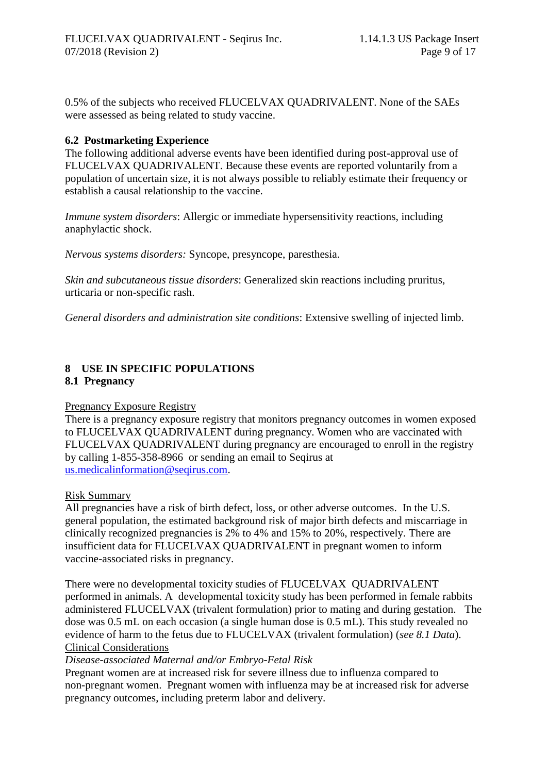0.5% of the subjects who received FLUCELVAX QUADRIVALENT. None of the SAEs were assessed as being related to study vaccine.

#### **6.2 Postmarketing Experience**

The following additional adverse events have been identified during post-approval use of FLUCELVAX QUADRIVALENT. Because these events are reported voluntarily from a population of uncertain size, it is not always possible to reliably estimate their frequency or establish a causal relationship to the vaccine.

*Immune system disorders*: Allergic or immediate hypersensitivity reactions, including anaphylactic shock.

*Nervous systems disorders:* Syncope, presyncope, paresthesia.

*Skin and subcutaneous tissue disorders*: Generalized skin reactions including pruritus, urticaria or non-specific rash.

*General disorders and administration site conditions*: Extensive swelling of injected limb.

#### **8 USE IN SPECIFIC POPULATIONS 8.1 Pregnancy**

#### Pregnancy Exposure Registry

There is a pregnancy exposure registry that monitors pregnancy outcomes in women exposed to FLUCELVAX QUADRIVALENT during pregnancy. Women who are vaccinated with FLUCELVAX QUADRIVALENT during pregnancy are encouraged to enroll in the registry by calling 1-855-358-8966 or sending an email to Seqirus at [us.medicalinformation@seqirus.com.](mailto:us.medicalinformation@seqirus.com)

#### Risk Summary

All pregnancies have a risk of birth defect, loss, or other adverse outcomes. In the U.S. general population, the estimated background risk of major birth defects and miscarriage in clinically recognized pregnancies is 2% to 4% and 15% to 20%, respectively. There are insufficient data for FLUCELVAX QUADRIVALENT in pregnant women to inform vaccine-associated risks in pregnancy.

There were no developmental toxicity studies of FLUCELVAX QUADRIVALENT performed in animals. A developmental toxicity study has been performed in female rabbits administered FLUCELVAX (trivalent formulation) prior to mating and during gestation. The dose was 0.5 mL on each occasion (a single human dose is 0.5 mL). This study revealed no evidence of harm to the fetus due to FLUCELVAX (trivalent formulation) (*see 8.1 Data*). Clinical Considerations

#### *Disease-associated Maternal and/or Embryo-Fetal Risk*

Pregnant women are at increased risk for severe illness due to influenza compared to non-pregnant women. Pregnant women with influenza may be at increased risk for adverse pregnancy outcomes, including preterm labor and delivery.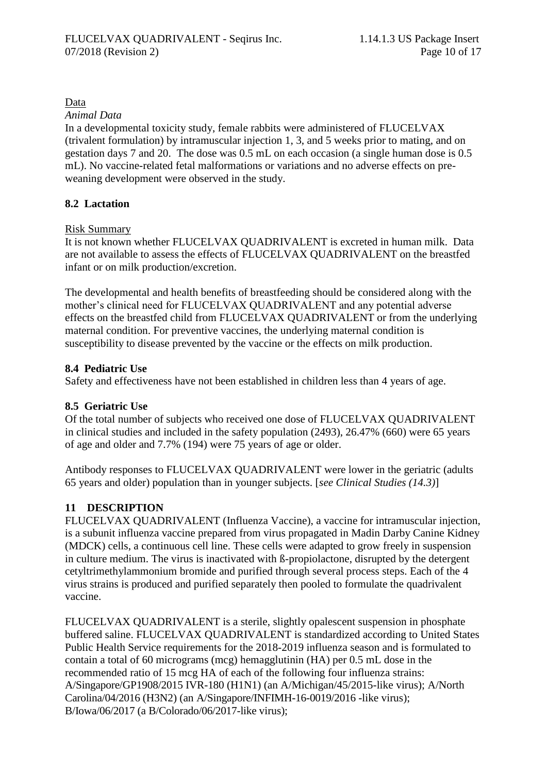#### Data

*Animal Data*

In a developmental toxicity study, female rabbits were administered of FLUCELVAX (trivalent formulation) by intramuscular injection 1, 3, and 5 weeks prior to mating, and on gestation days 7 and 20. The dose was 0.5 mL on each occasion (a single human dose is 0.5 mL). No vaccine-related fetal malformations or variations and no adverse effects on preweaning development were observed in the study.

## **8.2 Lactation**

Risk Summary

It is not known whether FLUCELVAX QUADRIVALENT is excreted in human milk. Data are not available to assess the effects of FLUCELVAX QUADRIVALENT on the breastfed infant or on milk production/excretion.

The developmental and health benefits of breastfeeding should be considered along with the mother's clinical need for FLUCELVAX QUADRIVALENT and any potential adverse effects on the breastfed child from FLUCELVAX QUADRIVALENT or from the underlying maternal condition. For preventive vaccines, the underlying maternal condition is susceptibility to disease prevented by the vaccine or the effects on milk production.

## **8.4 Pediatric Use**

Safety and effectiveness have not been established in children less than 4 years of age.

## **8.5 Geriatric Use**

Of the total number of subjects who received one dose of FLUCELVAX QUADRIVALENT in clinical studies and included in the safety population (2493), 26.47% (660) were 65 years of age and older and 7.7% (194) were 75 years of age or older.

Antibody responses to FLUCELVAX QUADRIVALENT were lower in the geriatric (adults 65 years and older) population than in younger subjects. [*see Clinical Studies (14.3)*]

## **11 DESCRIPTION**

FLUCELVAX QUADRIVALENT (Influenza Vaccine), a vaccine for intramuscular injection, is a subunit influenza vaccine prepared from virus propagated in Madin Darby Canine Kidney (MDCK) cells, a continuous cell line. These cells were adapted to grow freely in suspension in culture medium. The virus is inactivated with ß-propiolactone, disrupted by the detergent cetyltrimethylammonium bromide and purified through several process steps. Each of the 4 virus strains is produced and purified separately then pooled to formulate the quadrivalent vaccine.

FLUCELVAX QUADRIVALENT is a sterile, slightly opalescent suspension in phosphate buffered saline. FLUCELVAX QUADRIVALENT is standardized according to United States Public Health Service requirements for the 2018-2019 influenza season and is formulated to contain a total of 60 micrograms (mcg) hemagglutinin (HA) per 0.5 mL dose in the recommended ratio of 15 mcg HA of each of the following four influenza strains: A/Singapore/GP1908/2015 IVR-180 (H1N1) (an A/Michigan/45/2015-like virus); A/North Carolina/04/2016 (H3N2) (an A/Singapore/INFIMH-16-0019/2016 -like virus); B/Iowa/06/2017 (a B/Colorado/06/2017-like virus);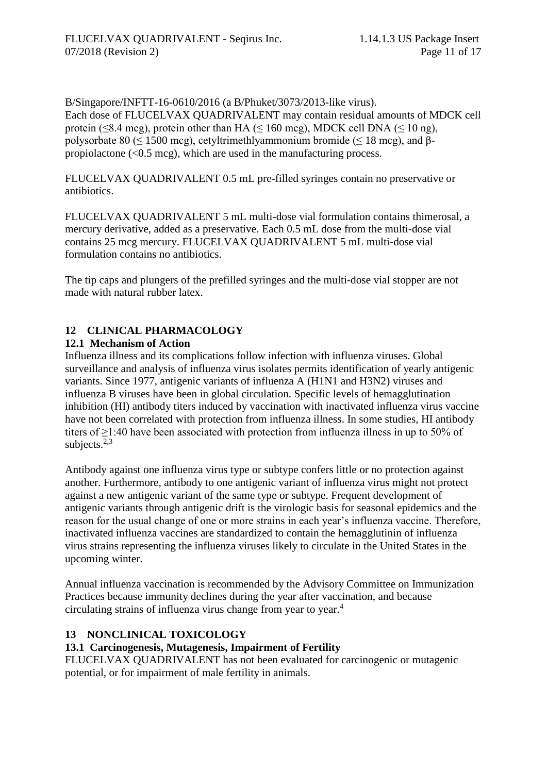B/Singapore/INFTT-16-0610/2016 (a B/Phuket/3073/2013-like virus). Each dose of FLUCELVAX QUADRIVALENT may contain residual amounts of MDCK cell protein ( $\leq$ 8.4 mcg), protein other than HA ( $\leq$  160 mcg), MDCK cell DNA ( $\leq$  10 ng), polysorbate 80 ( $\leq$  1500 mcg), cetyltrimethlyammonium bromide ( $\leq$  18 mcg), and βpropiolactone (<0.5 mcg), which are used in the manufacturing process.

FLUCELVAX QUADRIVALENT 0.5 mL pre-filled syringes contain no preservative or antibiotics.

FLUCELVAX QUADRIVALENT 5 mL multi-dose vial formulation contains thimerosal, a mercury derivative, added as a preservative. Each 0.5 mL dose from the multi-dose vial contains 25 mcg mercury. FLUCELVAX QUADRIVALENT 5 mL multi-dose vial formulation contains no antibiotics.

The tip caps and plungers of the prefilled syringes and the multi-dose vial stopper are not made with natural rubber latex.

# **12 CLINICAL PHARMACOLOGY**

# **12.1 Mechanism of Action**

Influenza illness and its complications follow infection with influenza viruses. Global surveillance and analysis of influenza virus isolates permits identification of yearly antigenic variants. Since 1977, antigenic variants of influenza A (H1N1 and H3N2) viruses and influenza B viruses have been in global circulation. Specific levels of hemagglutination inhibition (HI) antibody titers induced by vaccination with inactivated influenza virus vaccine have not been correlated with protection from influenza illness. In some studies, HI antibody titers of ≥1:40 have been associated with protection from influenza illness in up to 50% of subjects. $2,3$ 

Antibody against one influenza virus type or subtype confers little or no protection against another. Furthermore, antibody to one antigenic variant of influenza virus might not protect against a new antigenic variant of the same type or subtype. Frequent development of antigenic variants through antigenic drift is the virologic basis for seasonal epidemics and the reason for the usual change of one or more strains in each year's influenza vaccine. Therefore, inactivated influenza vaccines are standardized to contain the hemagglutinin of influenza virus strains representing the influenza viruses likely to circulate in the United States in the upcoming winter.

Annual influenza vaccination is recommended by the Advisory Committee on Immunization Practices because immunity declines during the year after vaccination, and because circulating strains of influenza virus change from year to year.<sup>4</sup>

## **13 NONCLINICAL TOXICOLOGY**

# **13.1 Carcinogenesis, Mutagenesis, Impairment of Fertility**

FLUCELVAX QUADRIVALENT has not been evaluated for carcinogenic or mutagenic potential, or for impairment of male fertility in animals.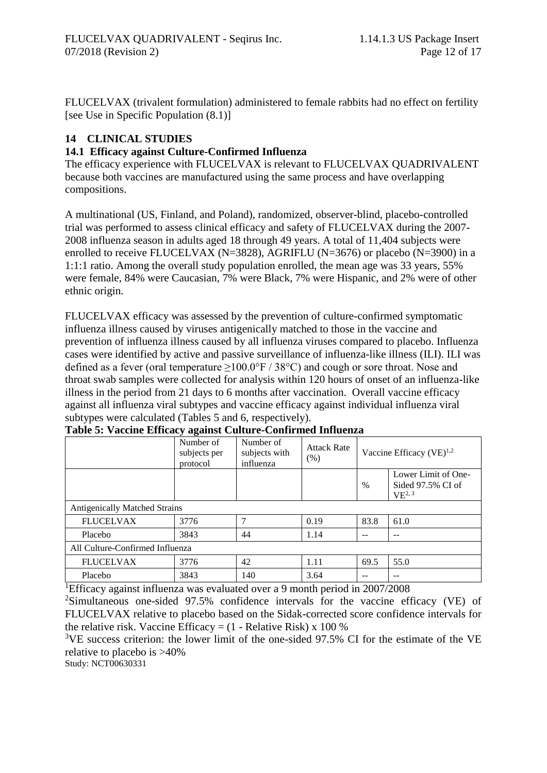FLUCELVAX (trivalent formulation) administered to female rabbits had no effect on fertility [see Use in Specific Population (8.1)]

# **14 CLINICAL STUDIES**

## **14.1 Efficacy against Culture-Confirmed Influenza**

The efficacy experience with FLUCELVAX is relevant to FLUCELVAX QUADRIVALENT because both vaccines are manufactured using the same process and have overlapping compositions.

A multinational (US, Finland, and Poland), randomized, observer-blind, placebo-controlled trial was performed to assess clinical efficacy and safety of FLUCELVAX during the 2007- 2008 influenza season in adults aged 18 through 49 years. A total of 11,404 subjects were enrolled to receive FLUCELVAX (N=3828), AGRIFLU (N=3676) or placebo (N=3900) in a 1:1:1 ratio. Among the overall study population enrolled, the mean age was 33 years, 55% were female, 84% were Caucasian, 7% were Black, 7% were Hispanic, and 2% were of other ethnic origin.

FLUCELVAX efficacy was assessed by the prevention of culture-confirmed symptomatic influenza illness caused by viruses antigenically matched to those in the vaccine and prevention of influenza illness caused by all influenza viruses compared to placebo. Influenza cases were identified by active and passive surveillance of influenza-like illness (ILI). ILI was defined as a fever (oral temperature  $>100.0$ °F / 38°C) and cough or sore throat. Nose and throat swab samples were collected for analysis within 120 hours of onset of an influenza-like illness in the period from 21 days to 6 months after vaccination. Overall vaccine efficacy against all influenza viral subtypes and vaccine efficacy against individual influenza viral subtypes were calculated (Tables 5 and 6, respectively).

|                                      | Number of<br>subjects per<br>protocol | Number of<br>subjects with<br>influenza | <b>Attack Rate</b><br>(% ) | Vaccine Efficacy $(VE)^{1,2}$ |                                                         |  |  |
|--------------------------------------|---------------------------------------|-----------------------------------------|----------------------------|-------------------------------|---------------------------------------------------------|--|--|
|                                      |                                       |                                         |                            | $\%$                          | Lower Limit of One-<br>Sided 97.5% CI of<br>$VE^{2, 3}$ |  |  |
| <b>Antigenically Matched Strains</b> |                                       |                                         |                            |                               |                                                         |  |  |
| <b>FLUCELVAX</b>                     | 3776                                  | 7                                       | 0.19                       | 83.8                          | 61.0                                                    |  |  |
| Placebo                              | 3843                                  | 44                                      | 1.14                       |                               |                                                         |  |  |
| All Culture-Confirmed Influenza      |                                       |                                         |                            |                               |                                                         |  |  |
| <b>FLUCELVAX</b>                     | 3776                                  | 42                                      | 1.11                       | 69.5                          | 55.0                                                    |  |  |
| Placebo                              | 3843                                  | 140                                     | 3.64                       |                               | --                                                      |  |  |

#### **Table 5: Vaccine Efficacy against Culture-Confirmed Influenza**

<sup>1</sup>Efficacy against influenza was evaluated over a 9 month period in 2007/2008

<sup>2</sup>Simultaneous one-sided 97.5% confidence intervals for the vaccine efficacy (VE) of FLUCELVAX relative to placebo based on the Sidak-corrected score confidence intervals for the relative risk. Vaccine Efficacy =  $(1 - Relative Risk) \times 100\%$ 

<sup>3</sup>VE success criterion: the lower limit of the one-sided 97.5% CI for the estimate of the VE relative to placebo is >40%

Study: NCT00630331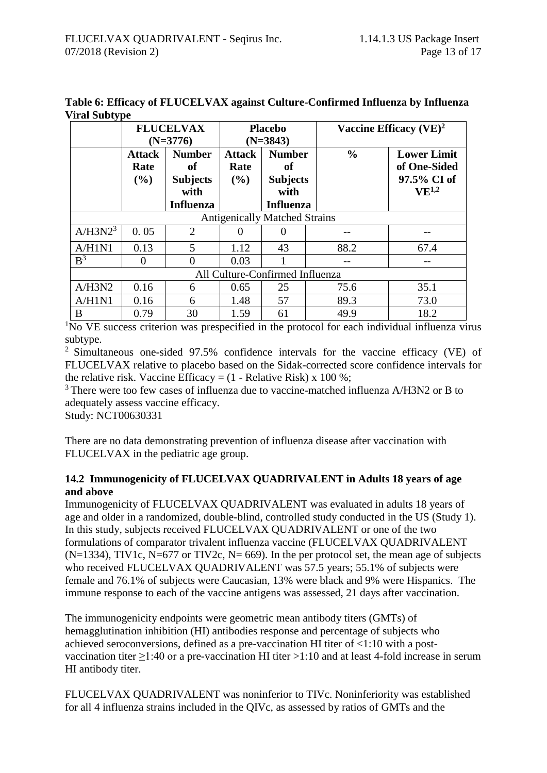| ี∙ ∎                | <b>FLUCELVAX</b><br>$(N=3776)$  |                                                                    | <b>Placebo</b><br>$(N=3843)$ |                                                                               |               | Vaccine Efficacy $(VE)^2$                                       |  |
|---------------------|---------------------------------|--------------------------------------------------------------------|------------------------------|-------------------------------------------------------------------------------|---------------|-----------------------------------------------------------------|--|
|                     | <b>Attack</b><br>Rate<br>(%)    | <b>Number</b><br>of<br><b>Subjects</b><br>with<br><b>Influenza</b> | <b>Attack</b><br>Rate<br>(%) | <b>Number</b><br><sub>of</sub><br><b>Subjects</b><br>with<br><b>Influenza</b> | $\frac{0}{0}$ | <b>Lower Limit</b><br>of One-Sided<br>97.5% CI of<br>$VE^{1,2}$ |  |
|                     |                                 |                                                                    |                              | <b>Antigenically Matched Strains</b>                                          |               |                                                                 |  |
| A/H3N2 <sup>3</sup> | 0.05                            | $\overline{2}$                                                     | $\theta$                     | $\Omega$                                                                      |               |                                                                 |  |
| A/H1N1              | 0.13                            | 5                                                                  | 1.12                         | 43                                                                            | 88.2          | 67.4                                                            |  |
| B <sup>3</sup>      | $_{0}$                          | 0                                                                  | 0.03                         |                                                                               |               |                                                                 |  |
|                     | All Culture-Confirmed Influenza |                                                                    |                              |                                                                               |               |                                                                 |  |
| A/H3N2              | 0.16                            | 6                                                                  | 0.65                         | 25                                                                            | 75.6          | 35.1                                                            |  |
| A/H1N1              | 0.16                            | 6                                                                  | 1.48                         | 57                                                                            | 89.3          | 73.0                                                            |  |
| В                   | 0.79                            | 30                                                                 | 1.59                         | 61                                                                            | 49.9          | 18.2                                                            |  |

**Table 6: Efficacy of FLUCELVAX against Culture-Confirmed Influenza by Influenza Viral Subtype** 

<sup>1</sup>No VE success criterion was prespecified in the protocol for each individual influenza virus subtype.

<sup>2</sup> Simultaneous one-sided 97.5% confidence intervals for the vaccine efficacy (VE) of FLUCELVAX relative to placebo based on the Sidak-corrected score confidence intervals for the relative risk. Vaccine Efficacy =  $(1 - Relative Risk) \times 100\%$ ;

<sup>3</sup> There were too few cases of influenza due to vaccine-matched influenza A/H3N2 or B to adequately assess vaccine efficacy.

Study: NCT00630331

There are no data demonstrating prevention of influenza disease after vaccination with FLUCELVAX in the pediatric age group.

## **14.2 Immunogenicity of FLUCELVAX QUADRIVALENT in Adults 18 years of age and above**

Immunogenicity of FLUCELVAX QUADRIVALENT was evaluated in adults 18 years of age and older in a randomized, double-blind, controlled study conducted in the US (Study 1). In this study, subjects received FLUCELVAX QUADRIVALENT or one of the two formulations of comparator trivalent influenza vaccine (FLUCELVAX QUADRIVALENT  $(N=1334)$ , TIV1c, N=677 or TIV2c, N= 669). In the per protocol set, the mean age of subjects who received FLUCELVAX QUADRIVALENT was 57.5 years; 55.1% of subjects were female and 76.1% of subjects were Caucasian, 13% were black and 9% were Hispanics. The immune response to each of the vaccine antigens was assessed, 21 days after vaccination.

The immunogenicity endpoints were geometric mean antibody titers (GMTs) of hemagglutination inhibition (HI) antibodies response and percentage of subjects who achieved seroconversions, defined as a pre-vaccination HI titer of <1:10 with a postvaccination titer  $\geq$ 1:40 or a pre-vaccination HI titer  $>$ 1:10 and at least 4-fold increase in serum HI antibody titer.

FLUCELVAX QUADRIVALENT was noninferior to TIVc. Noninferiority was established for all 4 influenza strains included in the QIVc, as assessed by ratios of GMTs and the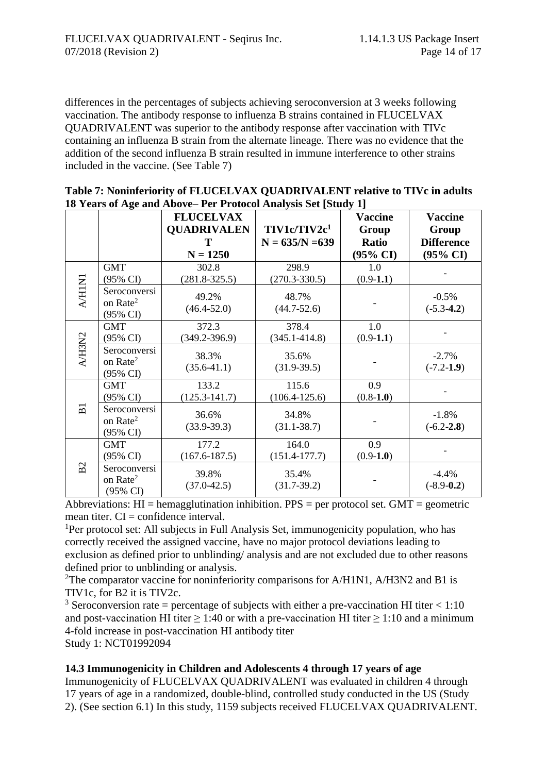differences in the percentages of subjects achieving seroconversion at 3 weeks following vaccination. The antibody response to influenza B strains contained in FLUCELVAX QUADRIVALENT was superior to the antibody response after vaccination with TIVc containing an influenza B strain from the alternate lineage. There was no evidence that the addition of the second influenza B strain resulted in immune interference to other strains included in the vaccine. (See Table 7)

| Table 7: Noninferiority of FLUCELVAX QUADRIVALENT relative to TIVc in adults |
|------------------------------------------------------------------------------|
| 18 Years of Age and Above– Per Protocol Analysis Set [Study 1]               |

|                |                      | <b>FLUCELVAX</b>   |                          | <b>Vaccine</b>      | <b>Vaccine</b>                           |
|----------------|----------------------|--------------------|--------------------------|---------------------|------------------------------------------|
|                |                      | <b>QUADRIVALEN</b> | TIV1c/TIV2c <sup>1</sup> | Group               | Group                                    |
|                |                      | T<br>$N = 1250$    | $N = 635/N = 639$        | <b>Ratio</b>        | <b>Difference</b><br>$(95\% \text{ CI})$ |
|                |                      |                    |                          | $(95\% \text{ CI})$ |                                          |
|                | <b>GMT</b>           | 302.8              | 298.9                    | 1.0                 |                                          |
|                | $(95\% \text{ CI})$  | $(281.8 - 325.5)$  | $(270.3 - 330.5)$        | $(0.9-1.1)$         |                                          |
| A/HIN1         | Seroconversi         | 49.2%              | 48.7%                    |                     | $-0.5%$                                  |
|                | on Rate <sup>2</sup> | $(46.4 - 52.0)$    | $(44.7 - 52.6)$          |                     | $(-5.3-4.2)$                             |
|                | $(95\% \text{ CI})$  |                    |                          |                     |                                          |
|                | <b>GMT</b>           | 372.3              | 378.4                    | 1.0                 |                                          |
|                | (95% CI)             | $(349.2 - 396.9)$  | $(345.1 - 414.8)$        | $(0.9-1.1)$         |                                          |
| A/H3N2         | Seroconversi         |                    |                          |                     |                                          |
|                | on Rate <sup>2</sup> | 38.3%              | 35.6%                    |                     | $-2.7%$                                  |
|                | $(95\% \text{ CI})$  | $(35.6-41.1)$      | $(31.9-39.5)$            |                     | $(-7.2 - 1.9)$                           |
|                | <b>GMT</b>           | 133.2              | 115.6                    | 0.9                 |                                          |
|                | $(95\% \text{ CI})$  | $(125.3 - 141.7)$  | $(106.4 - 125.6)$        | $(0.8-1.0)$         |                                          |
| $\overline{B}$ | Seroconversi         |                    |                          |                     |                                          |
|                | on Rate <sup>2</sup> | 36.6%              | 34.8%                    |                     | $-1.8%$                                  |
|                | (95% CI)             | $(33.9-39.3)$      | $(31.1 - 38.7)$          |                     | $(-6.2 - 2.8)$                           |
|                | <b>GMT</b>           | 177.2              | 164.0                    | 0.9                 |                                          |
|                | (95% CI)             | $(167.6 - 187.5)$  | $(151.4 - 177.7)$        | $(0.9-1.0)$         |                                          |
| B <sub>2</sub> | Seroconversi         |                    |                          |                     |                                          |
|                | on Rate <sup>2</sup> | 39.8%              | 35.4%                    |                     | $-4.4%$                                  |
|                | (95% CI)             | $(37.0 - 42.5)$    | $(31.7-39.2)$            |                     | $(-8.9-0.2)$                             |

Abbreviations:  $HI = hemagglutination inhibition. PPS = per protocol set. GMT = geometric$ mean titer. CI = confidence interval.

<sup>1</sup>Per protocol set: All subjects in Full Analysis Set, immunogenicity population, who has correctly received the assigned vaccine, have no major protocol deviations leading to exclusion as defined prior to unblinding/ analysis and are not excluded due to other reasons defined prior to unblinding or analysis.

<sup>2</sup>The comparator vaccine for noninferiority comparisons for  $A/H1N1$ ,  $A/H3N2$  and B1 is TIV1c, for B2 it is TIV2c.

<sup>3</sup> Seroconversion rate = percentage of subjects with either a pre-vaccination HI titer  $< 1:10$ and post-vaccination HI titer  $\geq 1:40$  or with a pre-vaccination HI titer  $\geq 1:10$  and a minimum 4-fold increase in post-vaccination HI antibody titer Study 1: NCT01992094

**14.3 Immunogenicity in Children and Adolescents 4 through 17 years of age**

Immunogenicity of FLUCELVAX QUADRIVALENT was evaluated in children 4 through 17 years of age in a randomized, double-blind, controlled study conducted in the US (Study 2). (See section 6.1) In this study, 1159 subjects received FLUCELVAX QUADRIVALENT.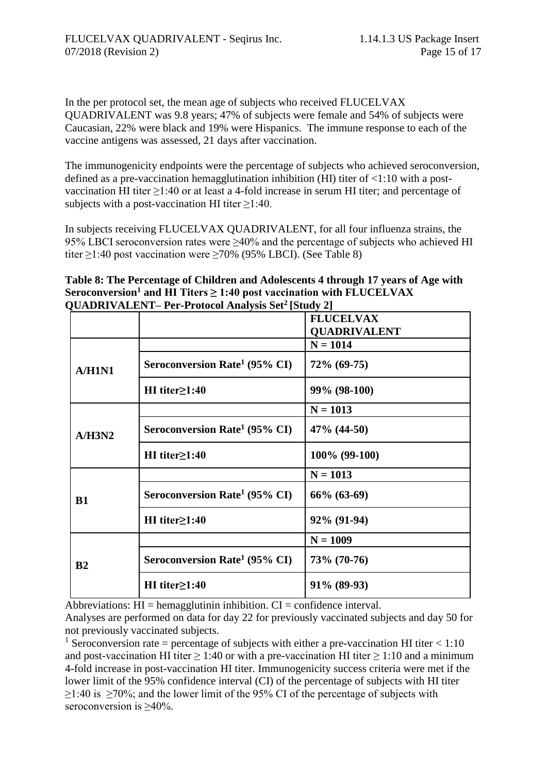In the per protocol set, the mean age of subjects who received FLUCELVAX QUADRIVALENT was 9.8 years; 47% of subjects were female and 54% of subjects were Caucasian, 22% were black and 19% were Hispanics. The immune response to each of the vaccine antigens was assessed, 21 days after vaccination.

The immunogenicity endpoints were the percentage of subjects who achieved seroconversion, defined as a pre-vaccination hemagglutination inhibition (HI) titer of <1:10 with a postvaccination HI titer ≥1:40 or at least a 4-fold increase in serum HI titer; and percentage of subjects with a post-vaccination HI titer  $\geq$ 1:40.

In subjects receiving FLUCELVAX QUADRIVALENT, for all four influenza strains, the 95% LBCI seroconversion rates were ≥40% and the percentage of subjects who achieved HI titer ≥1:40 post vaccination were ≥70% (95% LBCI). (See Table 8)

**Table 8: The Percentage of Children and Adolescents 4 through 17 years of Age with Seroconversion<sup>1</sup> and HI Titers ≥ 1:40 post vaccination with FLUCELVAX QUADRIVALENT– Per-Protocol Analysis Set<sup>2</sup> [Study 2]**

|           |                                           | <b>FLUCELVAX</b>    |
|-----------|-------------------------------------------|---------------------|
|           |                                           | <b>QUADRIVALENT</b> |
| A/H1N1    |                                           | $N = 1014$          |
|           | Seroconversion Rate <sup>1</sup> (95% CI) | 72% (69-75)         |
|           | $HI$ titer $\geq$ 1:40                    | 99% (98-100)        |
| A/H3N2    |                                           | $N = 1013$          |
|           | Seroconversion Rate <sup>1</sup> (95% CI) | $47\%$ (44-50)      |
|           | HI titer $\geq$ 1:40                      | 100% (99-100)       |
| <b>B1</b> |                                           | $N = 1013$          |
|           | Seroconversion Rate <sup>1</sup> (95% CI) | $66\%$ $(63-69)$    |
|           | $HI$ titer $\geq$ 1:40                    | 92% (91-94)         |
| B2        |                                           | $N = 1009$          |
|           | Seroconversion Rate <sup>1</sup> (95% CI) | 73% (70-76)         |
|           | HI titer $\geq$ 1:40                      | 91% (89-93)         |

Abbreviations:  $HI = hemagglutinin inhibition. CI = confidence interval.$ 

Analyses are performed on data for day 22 for previously vaccinated subjects and day 50 for not previously vaccinated subjects.

<sup>1</sup> Seroconversion rate = percentage of subjects with either a pre-vaccination HI titer  $< 1:10$ and post-vaccination HI titer  $\geq 1:40$  or with a pre-vaccination HI titer  $\geq 1:10$  and a minimum 4-fold increase in post-vaccination HI titer. Immunogenicity success criteria were met if the lower limit of the 95% confidence interval (CI) of the percentage of subjects with HI titer  $≥1:40$  is  $≥70%$ ; and the lower limit of the 95% CI of the percentage of subjects with seroconversion is ≥40%.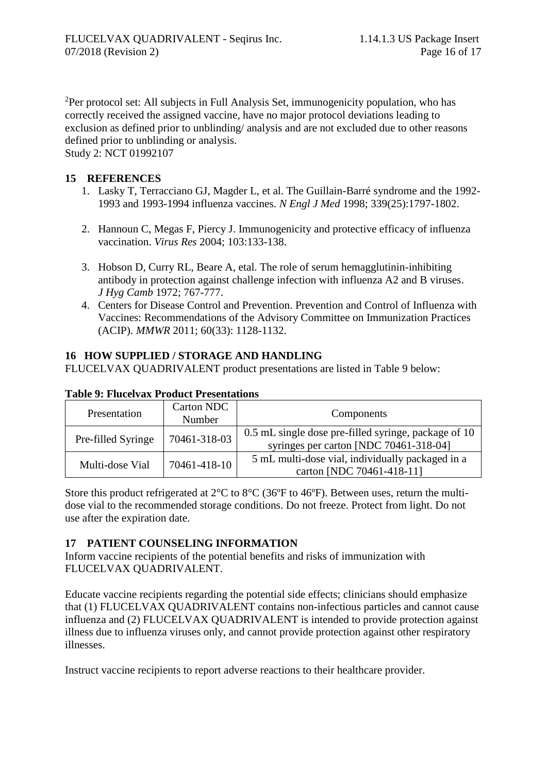<sup>2</sup>Per protocol set: All subjects in Full Analysis Set, immunogenicity population, who has correctly received the assigned vaccine, have no major protocol deviations leading to exclusion as defined prior to unblinding/ analysis and are not excluded due to other reasons defined prior to unblinding or analysis.

Study 2: NCT 01992107

## **15 REFERENCES**

- 1. Lasky T, Terracciano GJ, Magder L, et al. The Guillain-Barré syndrome and the 1992- 1993 and 1993-1994 influenza vaccines. *N Engl J Med* 1998; 339(25):1797-1802.
- 2. Hannoun C, Megas F, Piercy J. Immunogenicity and protective efficacy of influenza vaccination. *Virus Res* 2004; 103:133-138.
- 3. Hobson D, Curry RL, Beare A, etal. The role of serum hemagglutinin-inhibiting antibody in protection against challenge infection with influenza A2 and B viruses. *J Hyg Camb* 1972; 767-777.
- 4. Centers for Disease Control and Prevention. Prevention and Control of Influenza with Vaccines: Recommendations of the Advisory Committee on Immunization Practices (ACIP). *MMWR* 2011; 60(33): 1128-1132.

# **16 HOW SUPPLIED / STORAGE AND HANDLING**

FLUCELVAX QUADRIVALENT product presentations are listed in Table 9 below:

| Presentation       | Carton NDC<br>Number | Components                                                                                     |
|--------------------|----------------------|------------------------------------------------------------------------------------------------|
| Pre-filled Syringe | 70461-318-03         | 0.5 mL single dose pre-filled syringe, package of 10<br>syringes per carton [NDC 70461-318-04] |
| Multi-dose Vial    | 70461-418-10         | 5 mL multi-dose vial, individually packaged in a<br>carton [NDC 70461-418-11]                  |

## **Table 9: Flucelvax Product Presentations**

Store this product refrigerated at  $2^{\circ}$ C to  $8^{\circ}$ C (36°F to 46°F). Between uses, return the multidose vial to the recommended storage conditions. Do not freeze. Protect from light. Do not use after the expiration date.

# **17 PATIENT COUNSELING INFORMATION**

Inform vaccine recipients of the potential benefits and risks of immunization with FLUCELVAX QUADRIVALENT.

Educate vaccine recipients regarding the potential side effects; clinicians should emphasize that (1) FLUCELVAX QUADRIVALENT contains non-infectious particles and cannot cause influenza and (2) FLUCELVAX QUADRIVALENT is intended to provide protection against illness due to influenza viruses only, and cannot provide protection against other respiratory illnesses.

Instruct vaccine recipients to report adverse reactions to their healthcare provider.